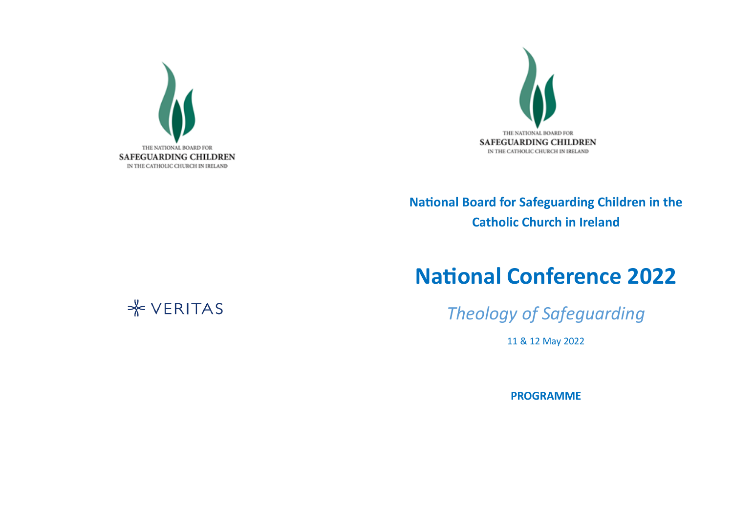



## **National Board for Safeguarding Children in the Catholic Church in Ireland**

## **National Conference 2022**

*Theology of Safeguarding*

11 & 12 May 2022

**PROGRAMME**